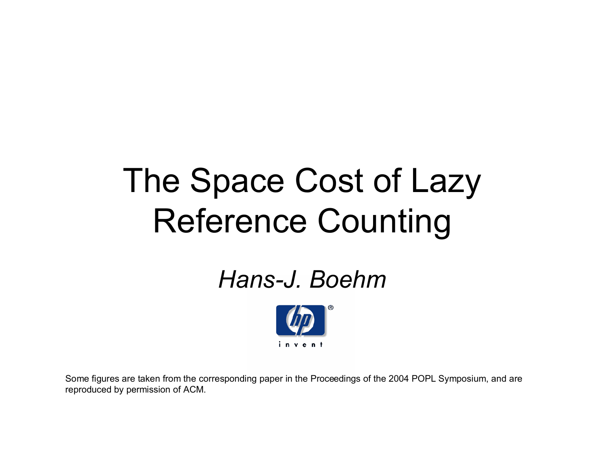# The Space Cost of Lazy Reference Counting

#### *Hans-J. Boehm*



Some figures are taken from the corresponding paper in the Proceedings of the 2004 POPL Symposium, and are reproduced by permission of ACM.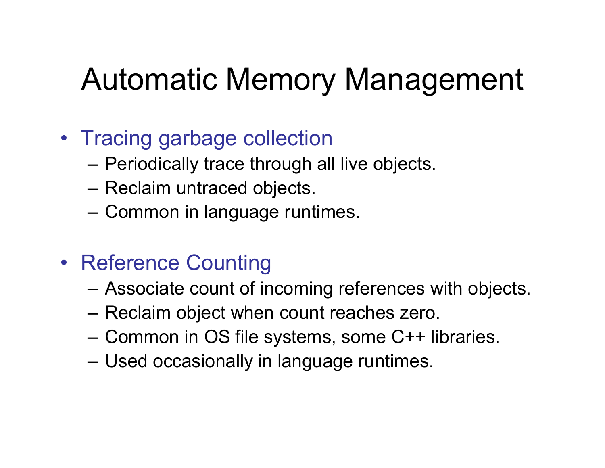## Automatic Memory Management

#### • Tracing garbage collection

- Periodically trace through all live objects.
- Reclaim untraced objects.
- Common in language runtimes.
- Reference Counting
	- Associate count of incoming references with objects.
	- Reclaim object when count reaches zero.
	- Common in OS file systems, some C++ libraries.
	- Used occasionally in language runtimes.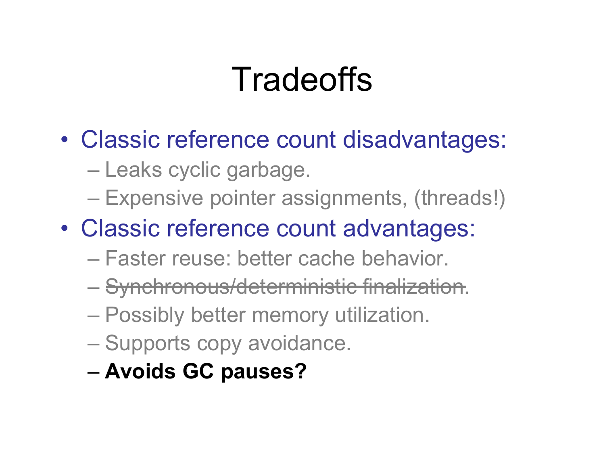# **Tradeoffs**

- Classic reference count disadvantages:
	- Leaks cyclic garbage.
	- Expensive pointer assignments, (threads!)
- Classic reference count advantages:
	- Faster reuse: better cache behavior.
	- Synchronous/deterministic finalization.
	- Possibly better memory utilization.
	- Supports copy avoidance.
	- **Avoids GC pauses?**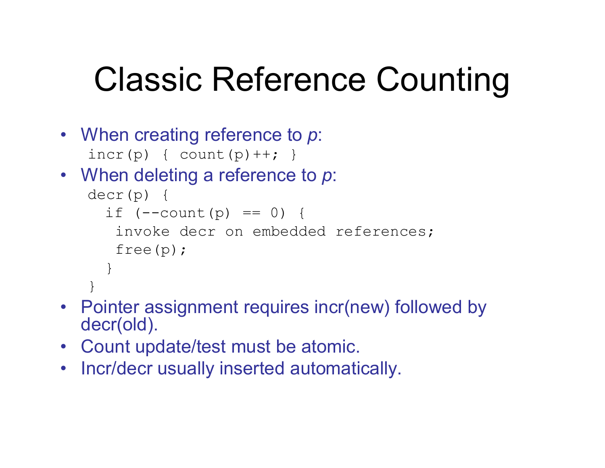# Classic Reference Counting

- When creating reference to *p*:  $incr(p) { \quad \text{count}(p) ++; } \quad}$
- When deleting a reference to *p*:

```
decr(p) {
  if (--count(p) == 0) {
   invoke decr on embedded references;
   free(p);
  }
}
```
- Pointer assignment requires incr(new) followed by decr(old).
- Count update/test must be atomic.
- Incr/decr usually inserted automatically.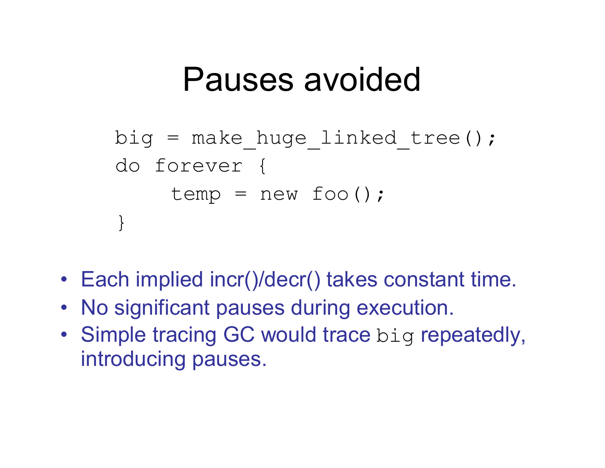### Pauses avoided

```
big = make huge linked tree();
do forever {
    temp = new foo();
}
```
- Each implied incr()/decr() takes constant time.
- No significant pauses during execution.
- Simple tracing GC would trace big repeatedly, introducing pauses.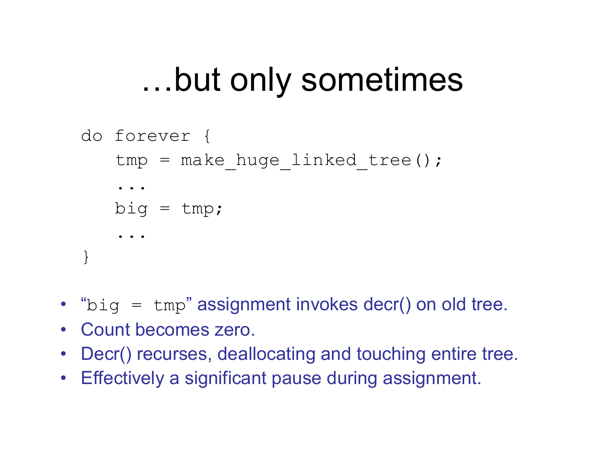## ...but only sometimes

```
do forever {
   tmp = make huge Lined tree();
   ...
   big = tmp;...
}
```
- $\cdot$  "big = tmp" assignment invokes decr() on old tree.
- Count becomes zero.
- Decr() recurses, deallocating and touching entire tree.
- Effectively a significant pause during assignment.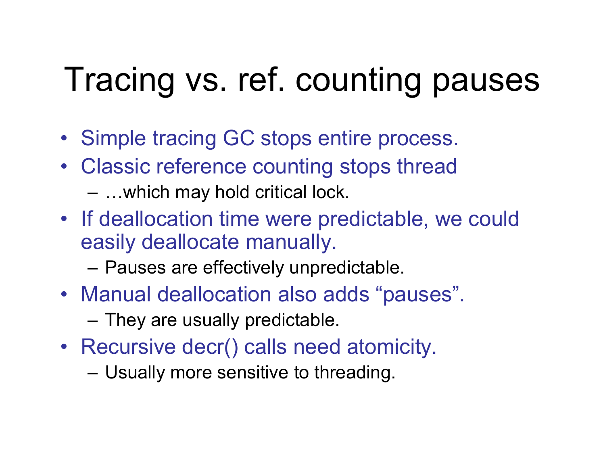# Tracing vs. ref. counting pauses

- Simple tracing GC stops entire process.
- Classic reference counting stops thread
	- ... which may hold critical lock.
- If deallocation time were predictable, we could easily deallocate manually.
	- Pauses are effectively unpredictable.
- Manual deallocation also adds "pauses".
	- They are usually predictable.
- Recursive decr() calls need atomicity.
	- Usually more sensitive to threading.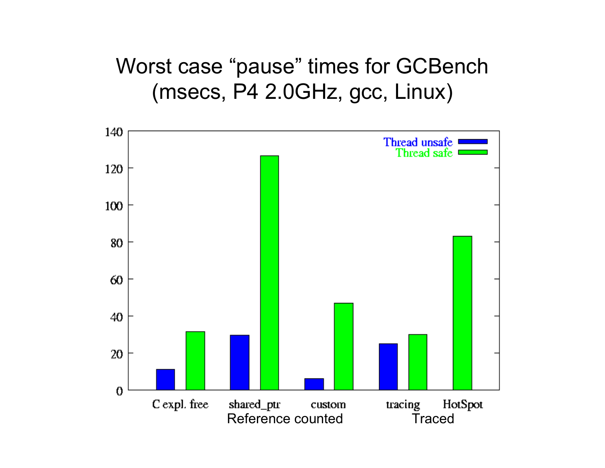#### Worst case "pause" times for GCBench (msecs, P4 2.0GHz, gcc, Linux)

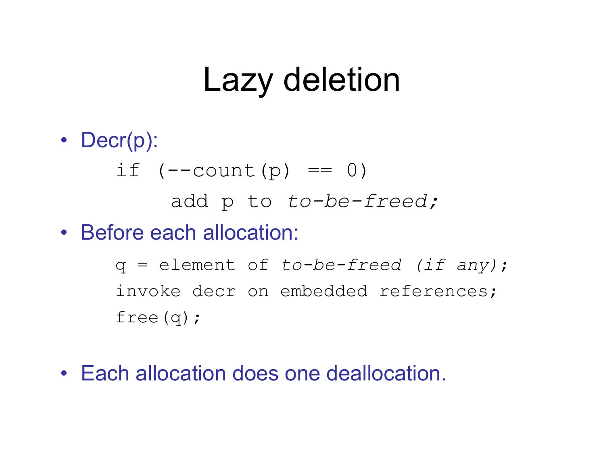## Lazy deletion

• Decr(p): if  $(--count(p) == 0)$ add p to *to-be-freed;* • Before each allocation: q = element of *to-be-freed (if any)*;

> invoke decr on embedded references; free(q);

• Each allocation does one deallocation.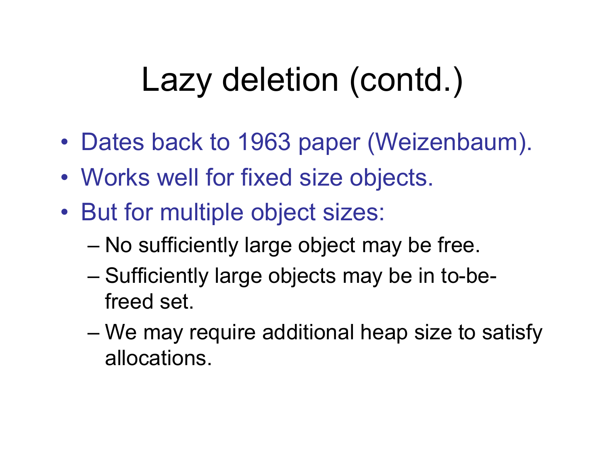# Lazy deletion (contd.)

- Dates back to 1963 paper (Weizenbaum).
- Works well for fixed size objects.
- But for multiple object sizes:
	- No sufficiently large object may be free.
	- Sufficiently large objects may be in to-befreed set.
	- We may require additional heap size to satisfy allocations.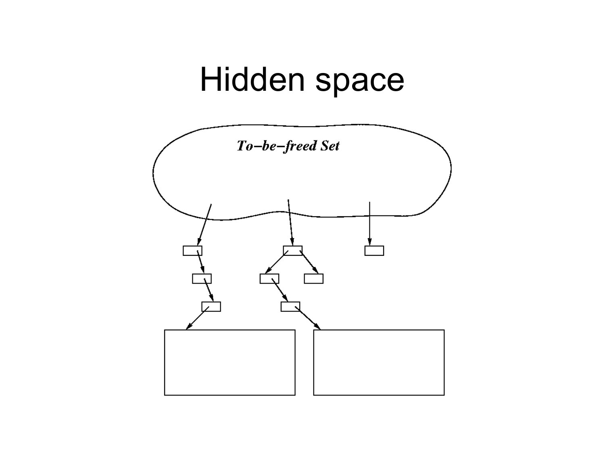## Hidden space

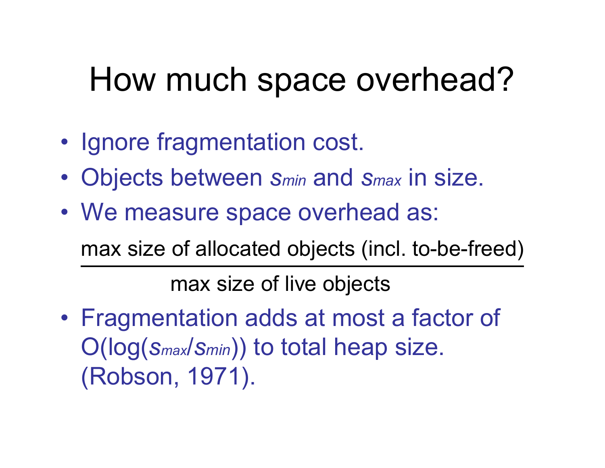## How much space overhead?

- Ignore fragmentation cost.
- Objects between *smin* and *smax* in size.
- We measure space overhead as:

max size of allocated objects (incl. to-be-freed)

max size of live objects

 Fragmentation adds at most a factor of O(log(*smax*/*smin*)) to total heap size. (Robson, 1971).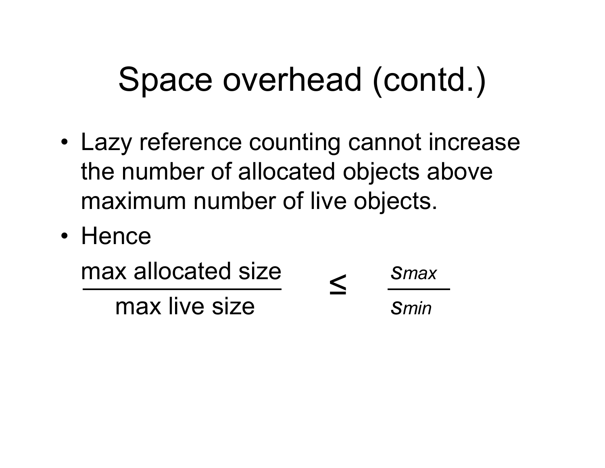# Space overhead (contd.)

- Lazy reference counting cannot increase the number of allocated objects above maximum number of live objects.
- Hence

| max allocated size | Smax |
|--------------------|------|
| max live size      | Smin |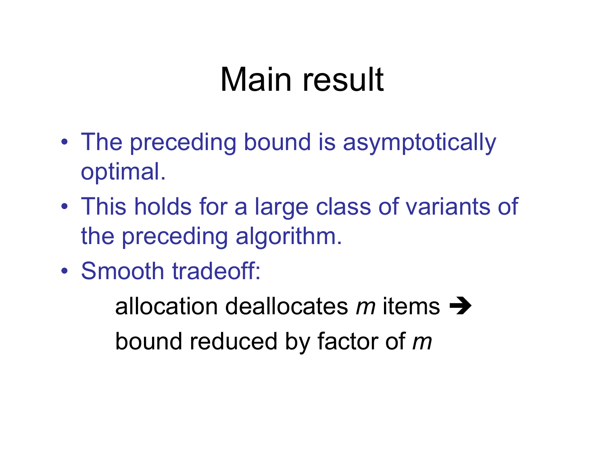## Main result

- The preceding bound is asymptotically optimal.
- This holds for a large class of variants of the preceding algorithm.
- Smooth tradeoff:

allocation deallocates  $m$  items  $\rightarrow$ bound reduced by factor of *m*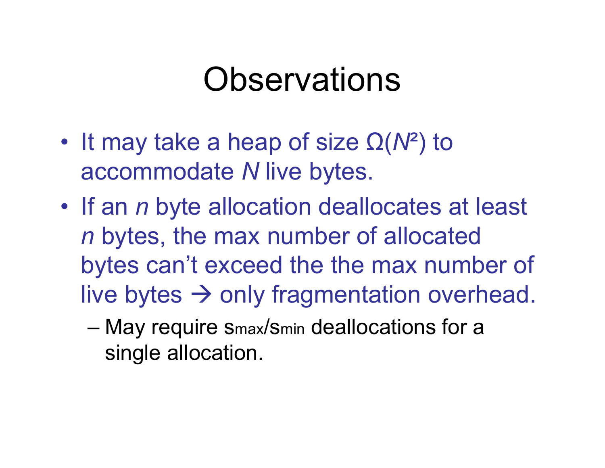### **Observations**

- $\cdot$  It may take a heap of size  $\Omega(N^2)$  to accommodate *N* live bytes.
- If an *n* byte allocation deallocates at least *n* bytes, the max number of allocated bytes can't exceed the the max number of live bytes  $\rightarrow$  only fragmentation overhead.
	- May require smax/smin deallocations for a single allocation.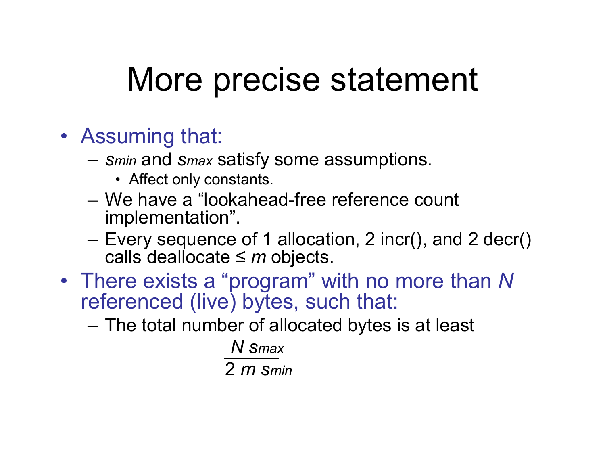## More precise statement

- Assuming that:
	- *smin* and *smax* satisfy some assumptions.
		- Affect only constants.
	- We have a "lookahead-free reference count implementation".
	- Every sequence of 1 allocation, 2 incr(), and 2 decr() calls deallocate  $\leq m$  objects.
- There exists a "program" with no more than N referenced (live) bytes, such that:
	- The total number of allocated bytes is at least

*N smax* 2 *m smin*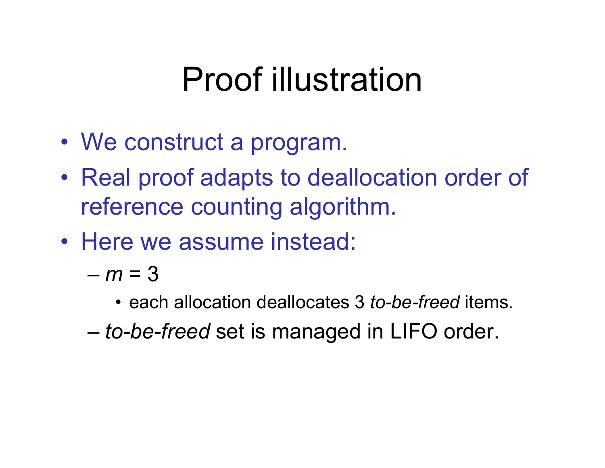## Proof illustration

- We construct a program.
- Real proof adapts to deallocation order of reference counting algorithm.
- Here we assume instead:
	- $-m = 3$ 
		- each allocation deallocates 3 *to-be-freed* items.
	- *to-be-freed* set is managed in LIFO order.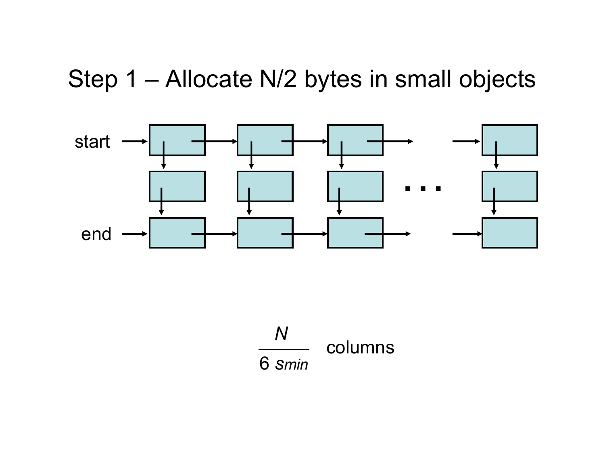#### Step 1 - Allocate N/2 bytes in small objects



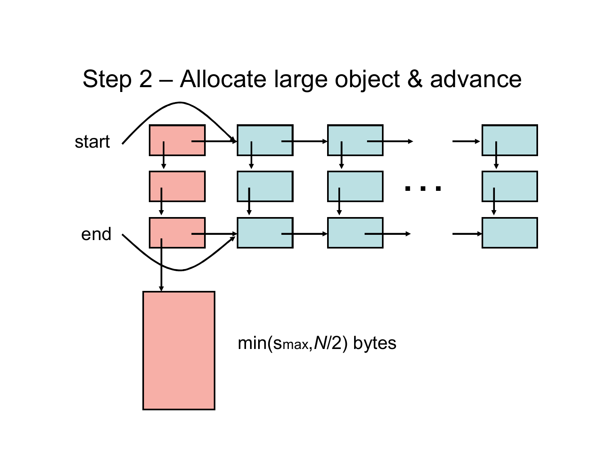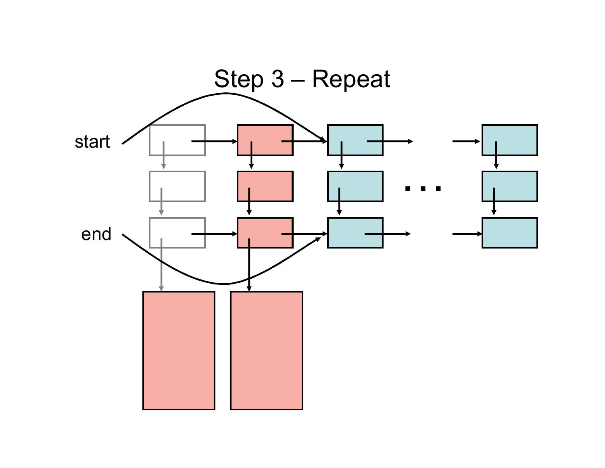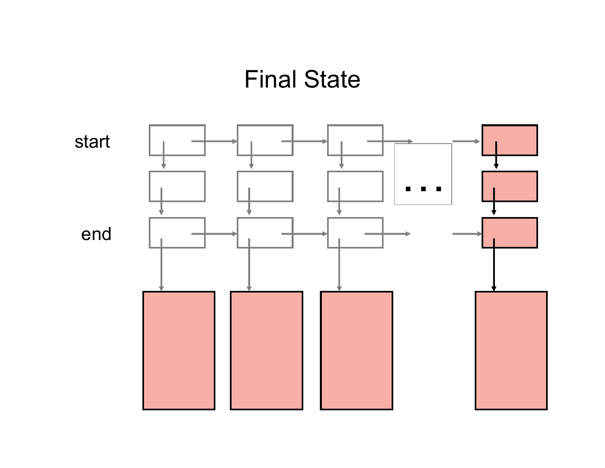#### Final State